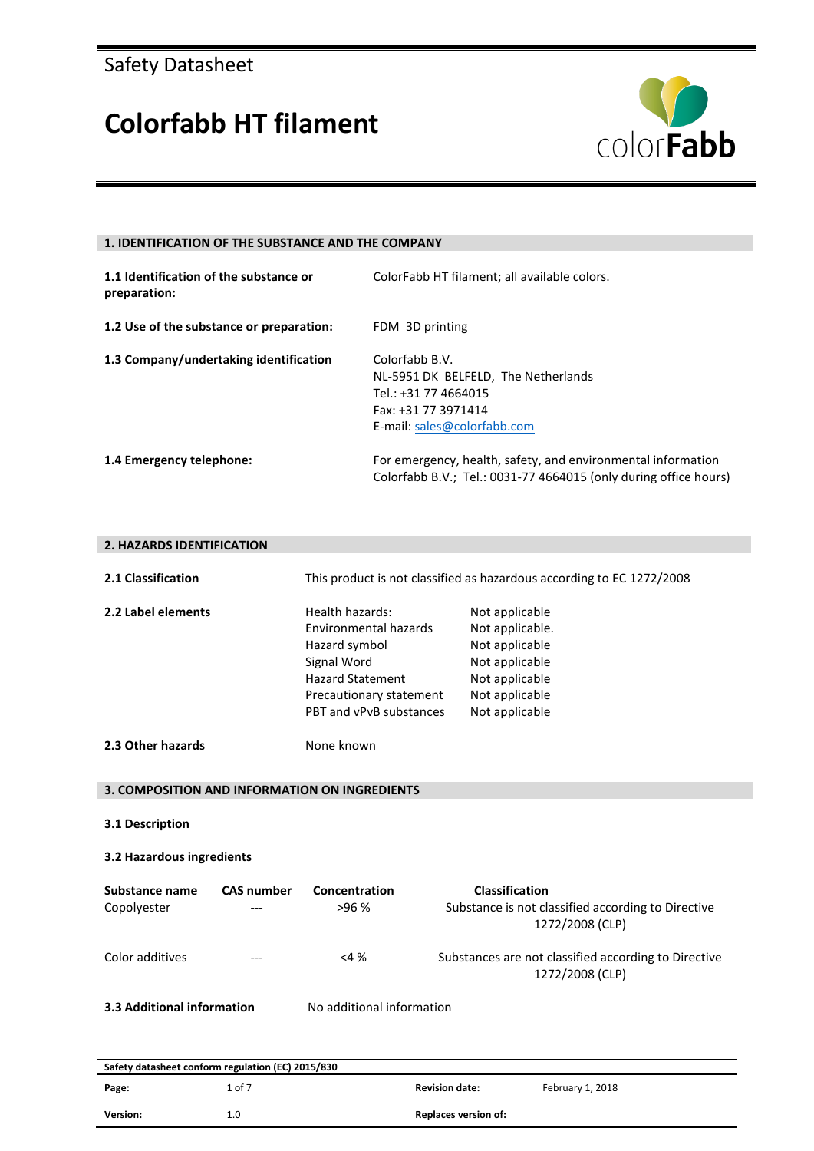### **Colorfabb HT filament**



### **1. IDENTIFICATION OF THE SUBSTANCE AND THE COMPANY**

| 1.1 Identification of the substance or<br>preparation: | ColorFabb HT filament; all available colors.                                                                                        |
|--------------------------------------------------------|-------------------------------------------------------------------------------------------------------------------------------------|
| 1.2 Use of the substance or preparation:               | FDM 3D printing                                                                                                                     |
| 1.3 Company/undertaking identification                 | Colorfabb B.V.<br>NL-5951 DK BELFELD, The Netherlands<br>Tel.: +31 77 4664015<br>Fax: +31 77 3971414<br>E-mail: sales@colorfabb.com |
| 1.4 Emergency telephone:                               | For emergency, health, safety, and environmental information<br>Colorfabb B.V.; Tel.: 0031-77 4664015 (only during office hours)    |

#### **2. HAZARDS IDENTIFICATION**

| 2.1 Classification            | This product is not classified as hazardous according to EC 1272/2008 |                                                                                                                                                           |                                                                                                                             |  |
|-------------------------------|-----------------------------------------------------------------------|-----------------------------------------------------------------------------------------------------------------------------------------------------------|-----------------------------------------------------------------------------------------------------------------------------|--|
| 2.2 Label elements            |                                                                       | Health hazards:<br>Environmental hazards<br>Hazard symbol<br>Signal Word<br><b>Hazard Statement</b><br>Precautionary statement<br>PBT and vPvB substances | Not applicable<br>Not applicable.<br>Not applicable<br>Not applicable<br>Not applicable<br>Not applicable<br>Not applicable |  |
| 2.3 Other hazards             |                                                                       | None known                                                                                                                                                |                                                                                                                             |  |
|                               |                                                                       | 3. COMPOSITION AND INFORMATION ON INGREDIENTS                                                                                                             |                                                                                                                             |  |
| 3.1 Description               |                                                                       |                                                                                                                                                           |                                                                                                                             |  |
| 3.2 Hazardous ingredients     |                                                                       |                                                                                                                                                           |                                                                                                                             |  |
| Substance name<br>Copolyester | <b>CAS number</b>                                                     | Concentration<br>>96%                                                                                                                                     | Classification<br>Substance is not classified according to Directive<br>1272/2008 (CLP)                                     |  |
| Color additives               |                                                                       | $<$ 4 %                                                                                                                                                   | Substances are not classified according to Directive<br>1272/2008 (CLP)                                                     |  |
| 3.3 Additional information    |                                                                       | No additional information                                                                                                                                 |                                                                                                                             |  |

| Safety datasheet conform regulation (EC) 2015/830 |        |                             |                  |
|---------------------------------------------------|--------|-----------------------------|------------------|
| Page:                                             | 1 of 7 | <b>Revision date:</b>       | February 1, 2018 |
| Version:                                          | 1.0    | <b>Replaces version of:</b> |                  |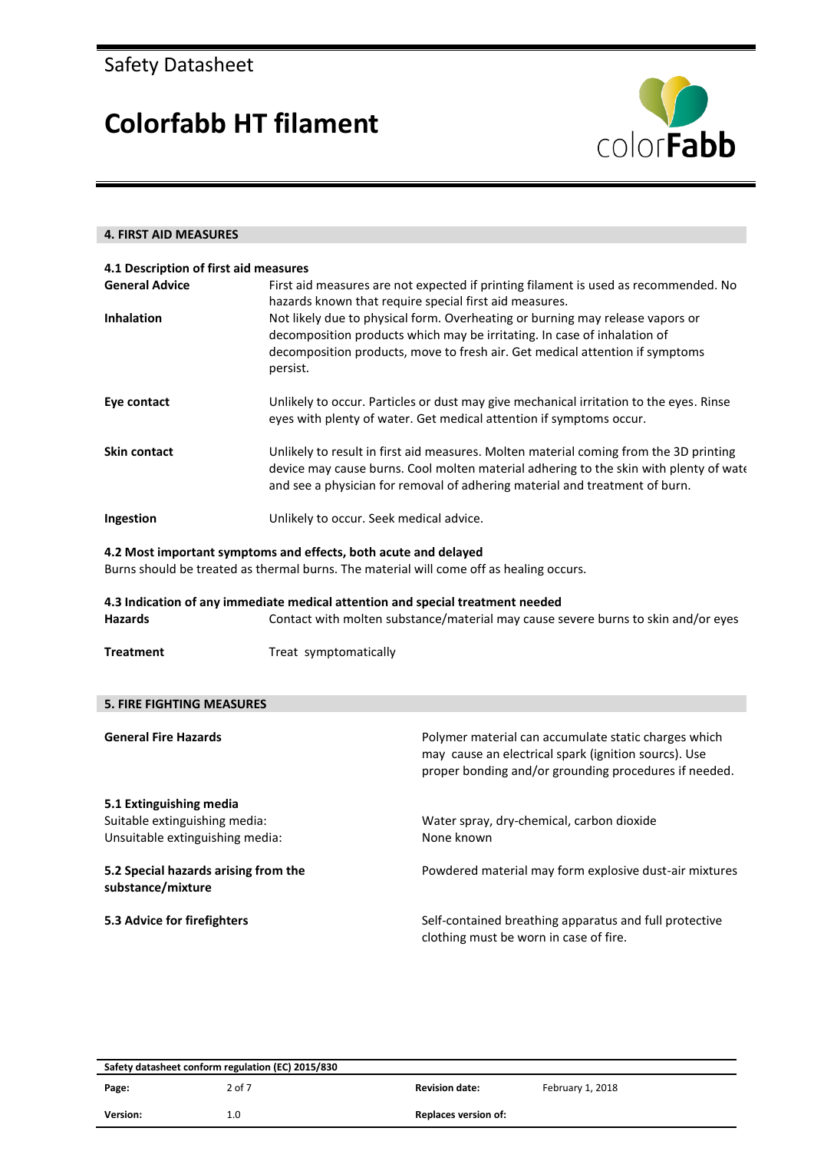# **Colorfabb HT filament**



| <b>4. FIRST AID MEASURES</b>                                                                |                                                                                                                                                                                                                                                                                                                                                                                                        |                                                                                                                                                                       |  |
|---------------------------------------------------------------------------------------------|--------------------------------------------------------------------------------------------------------------------------------------------------------------------------------------------------------------------------------------------------------------------------------------------------------------------------------------------------------------------------------------------------------|-----------------------------------------------------------------------------------------------------------------------------------------------------------------------|--|
|                                                                                             |                                                                                                                                                                                                                                                                                                                                                                                                        |                                                                                                                                                                       |  |
| 4.1 Description of first aid measures<br><b>General Advice</b><br>Inhalation                | First aid measures are not expected if printing filament is used as recommended. No<br>hazards known that require special first aid measures.<br>Not likely due to physical form. Overheating or burning may release vapors or<br>decomposition products which may be irritating. In case of inhalation of<br>decomposition products, move to fresh air. Get medical attention if symptoms<br>persist. |                                                                                                                                                                       |  |
| Eye contact                                                                                 | Unlikely to occur. Particles or dust may give mechanical irritation to the eyes. Rinse<br>eyes with plenty of water. Get medical attention if symptoms occur.                                                                                                                                                                                                                                          |                                                                                                                                                                       |  |
| <b>Skin contact</b>                                                                         | Unlikely to result in first aid measures. Molten material coming from the 3D printing<br>device may cause burns. Cool molten material adhering to the skin with plenty of wate<br>and see a physician for removal of adhering material and treatment of burn.                                                                                                                                          |                                                                                                                                                                       |  |
| Ingestion                                                                                   | Unlikely to occur. Seek medical advice.                                                                                                                                                                                                                                                                                                                                                                |                                                                                                                                                                       |  |
|                                                                                             | 4.2 Most important symptoms and effects, both acute and delayed                                                                                                                                                                                                                                                                                                                                        | Burns should be treated as thermal burns. The material will come off as healing occurs.                                                                               |  |
| <b>Hazards</b>                                                                              | 4.3 Indication of any immediate medical attention and special treatment needed                                                                                                                                                                                                                                                                                                                         | Contact with molten substance/material may cause severe burns to skin and/or eyes                                                                                     |  |
| <b>Treatment</b>                                                                            | Treat symptomatically                                                                                                                                                                                                                                                                                                                                                                                  |                                                                                                                                                                       |  |
| <b>5. FIRE FIGHTING MEASURES</b>                                                            |                                                                                                                                                                                                                                                                                                                                                                                                        |                                                                                                                                                                       |  |
| <b>General Fire Hazards</b>                                                                 |                                                                                                                                                                                                                                                                                                                                                                                                        | Polymer material can accumulate static charges which<br>may cause an electrical spark (ignition sourcs). Use<br>proper bonding and/or grounding procedures if needed. |  |
| 5.1 Extinguishing media<br>Suitable extinguishing media:<br>Unsuitable extinguishing media: |                                                                                                                                                                                                                                                                                                                                                                                                        | Water spray, dry-chemical, carbon dioxide<br>None known                                                                                                               |  |
| 5.2 Special hazards arising from the<br>substance/mixture                                   |                                                                                                                                                                                                                                                                                                                                                                                                        | Powdered material may form explosive dust-air mixtures                                                                                                                |  |
| 5.3 Advice for firefighters                                                                 |                                                                                                                                                                                                                                                                                                                                                                                                        | Self-contained breathing apparatus and full protective<br>clothing must be worn in case of fire.                                                                      |  |

| Safety datasheet conform regulation (EC) 2015/830 |            |                       |                  |
|---------------------------------------------------|------------|-----------------------|------------------|
| Page:                                             | $2$ of $7$ | <b>Revision date:</b> | February 1, 2018 |
| Version:                                          | 1.0        | Replaces version of:  |                  |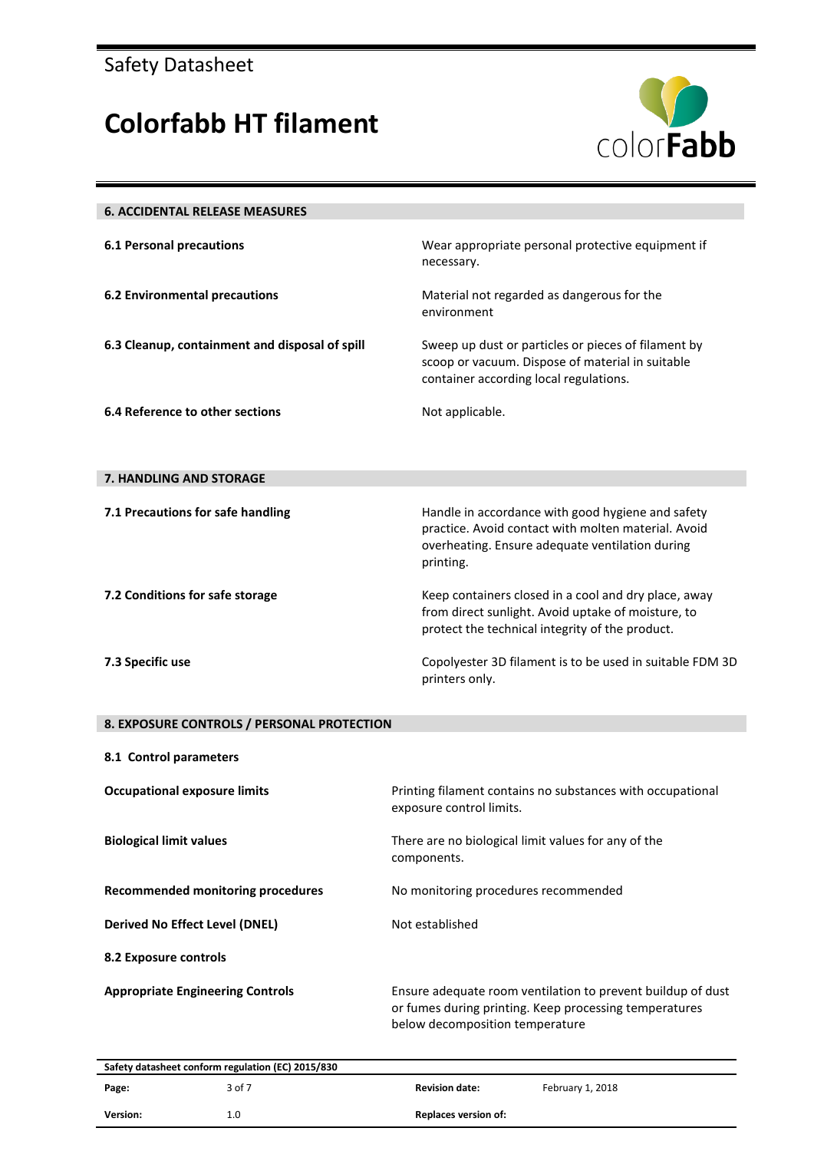# **Colorfabb HT filament**



| <b>6. ACCIDENTAL RELEASE MEASURES</b>             |                                                                                                                                                                          |
|---------------------------------------------------|--------------------------------------------------------------------------------------------------------------------------------------------------------------------------|
| <b>6.1 Personal precautions</b>                   | Wear appropriate personal protective equipment if<br>necessary.                                                                                                          |
| <b>6.2 Environmental precautions</b>              | Material not regarded as dangerous for the<br>environment                                                                                                                |
| 6.3 Cleanup, containment and disposal of spill    | Sweep up dust or particles or pieces of filament by<br>scoop or vacuum. Dispose of material in suitable<br>container according local regulations.                        |
| 6.4 Reference to other sections                   | Not applicable.                                                                                                                                                          |
| 7. HANDLING AND STORAGE                           |                                                                                                                                                                          |
| 7.1 Precautions for safe handling                 | Handle in accordance with good hygiene and safety<br>practice. Avoid contact with molten material. Avoid<br>overheating. Ensure adequate ventilation during<br>printing. |
| 7.2 Conditions for safe storage                   | Keep containers closed in a cool and dry place, away<br>from direct sunlight. Avoid uptake of moisture, to<br>protect the technical integrity of the product.            |
| 7.3 Specific use                                  | Copolyester 3D filament is to be used in suitable FDM 3D<br>printers only.                                                                                               |
| 8. EXPOSURE CONTROLS / PERSONAL PROTECTION        |                                                                                                                                                                          |
| 8.1 Control parameters                            |                                                                                                                                                                          |
| <b>Occupational exposure limits</b>               | Printing filament contains no substances with occupational<br>exposure control limits.                                                                                   |
| <b>Biological limit values</b>                    | There are no biological limit values for any of the<br>components.                                                                                                       |
| <b>Recommended monitoring procedures</b>          | No monitoring procedures recommended                                                                                                                                     |
| <b>Derived No Effect Level (DNEL)</b>             | Not established                                                                                                                                                          |
| 8.2 Exposure controls                             |                                                                                                                                                                          |
| <b>Appropriate Engineering Controls</b>           | Ensure adequate room ventilation to prevent buildup of dust<br>or fumes during printing. Keep processing temperatures<br>below decomposition temperature                 |
| Safety datasheet conform regulation (EC) 2015/830 |                                                                                                                                                                          |

| Page:    | <b>Salety datasheet comonic regulation (LC) 2013/030</b><br>3 of 7 | <b>Revision date:</b>       | February 1, 2018 |
|----------|--------------------------------------------------------------------|-----------------------------|------------------|
| Version: | 1.0                                                                | <b>Replaces version of:</b> |                  |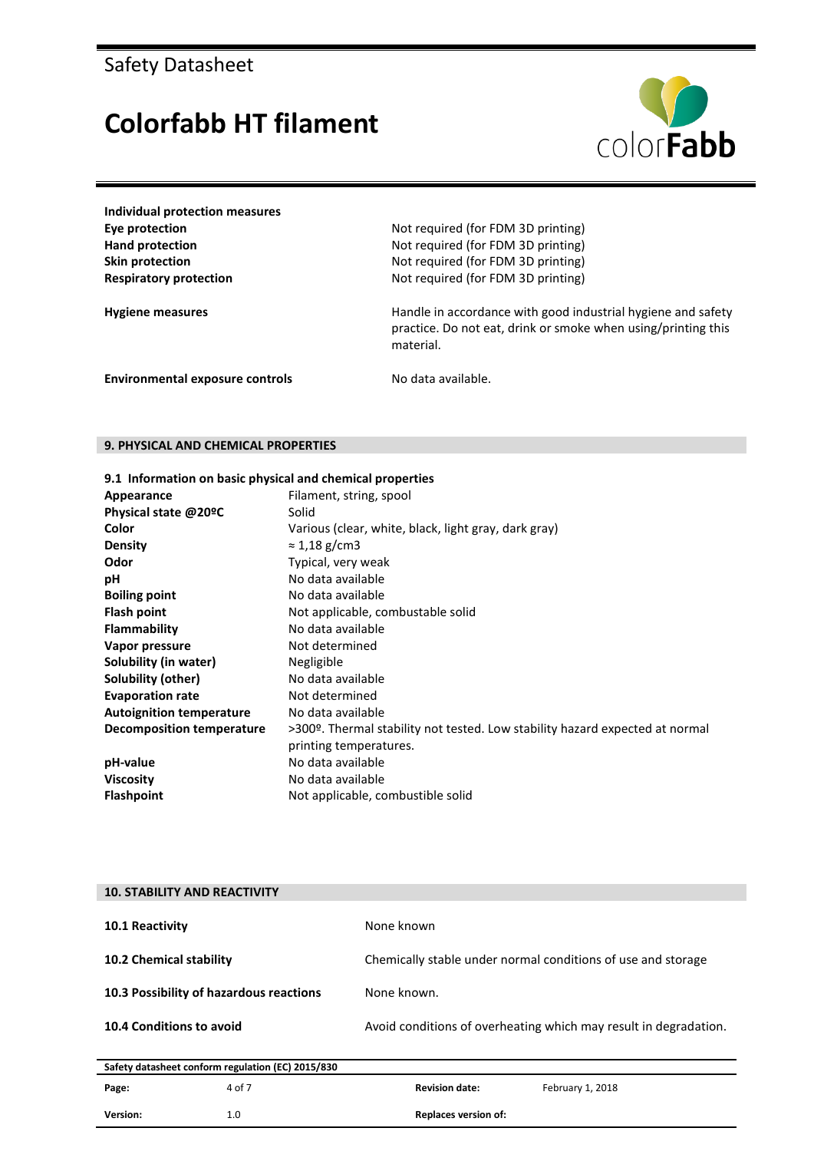### **Colorfabb HT filament**



**Individual protection measures**

**Eye protection** Not required (for FDM 3D printing) Hand protection **Hand protection** Not required (for FDM 3D printing) **Skin protection** Not required (for FDM 3D printing) **Respiratory protection** Not required (for FDM 3D printing)

Hygiene measures **Handle in accordance with good industrial hygiene and safety** Handle in accordance with good industrial hygiene and safety practice. Do not eat, drink or smoke when using/printing this material.

**Environmental exposure controls** No data available.

#### **9. PHYSICAL AND CHEMICAL PROPERTIES**

#### **9.1 Information on basic physical and chemical properties**

| Appearance                      | Filament, string, spool                                                      |
|---------------------------------|------------------------------------------------------------------------------|
| Physical state @20ºC            | Solid                                                                        |
| Color                           | Various (clear, white, black, light gray, dark gray)                         |
| <b>Density</b>                  | $\approx$ 1,18 g/cm3                                                         |
| Odor                            | Typical, very weak                                                           |
| рH                              | No data available                                                            |
| <b>Boiling point</b>            | No data available                                                            |
| Flash point                     | Not applicable, combustable solid                                            |
| <b>Flammability</b>             | No data available                                                            |
| Vapor pressure                  | Not determined                                                               |
| Solubility (in water)           | Negligible                                                                   |
| Solubility (other)              | No data available                                                            |
| <b>Evaporation rate</b>         | Not determined                                                               |
| <b>Autoignition temperature</b> | No data available                                                            |
| Decomposition temperature       | >300º. Thermal stability not tested. Low stability hazard expected at normal |
|                                 | printing temperatures.                                                       |
| pH-value                        | No data available                                                            |
| <b>Viscosity</b>                | No data available                                                            |
| <b>Flashpoint</b>               | Not applicable, combustible solid                                            |

|                                         | <b>10. STABILITY AND REACTIVITY</b>               |                                                                  |                                                              |  |
|-----------------------------------------|---------------------------------------------------|------------------------------------------------------------------|--------------------------------------------------------------|--|
| <b>10.1 Reactivity</b>                  |                                                   | None known                                                       |                                                              |  |
| 10.2 Chemical stability                 |                                                   |                                                                  | Chemically stable under normal conditions of use and storage |  |
| 10.3 Possibility of hazardous reactions |                                                   | None known.                                                      |                                                              |  |
| <b>10.4 Conditions to avoid</b>         |                                                   | Avoid conditions of overheating which may result in degradation. |                                                              |  |
|                                         | Safety datasheet conform regulation (EC) 2015/830 |                                                                  |                                                              |  |
| Page:                                   | 4 of 7                                            | <b>Revision date:</b>                                            | February 1, 2018                                             |  |
| Version:                                | 1.0                                               | <b>Replaces version of:</b>                                      |                                                              |  |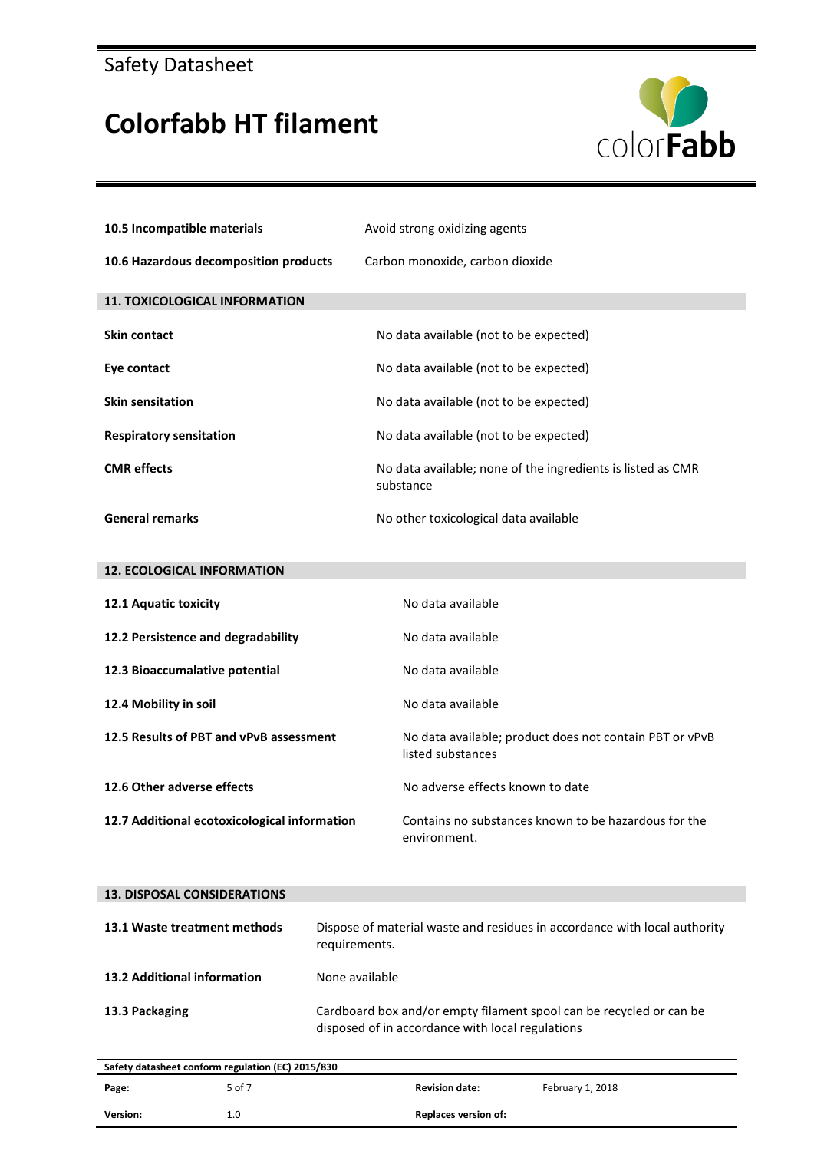### **Colorfabb HT filament**



| 10.5 Incompatible materials                  | Avoid strong oxidizing agents                                                |
|----------------------------------------------|------------------------------------------------------------------------------|
| 10.6 Hazardous decomposition products        | Carbon monoxide, carbon dioxide                                              |
| <b>11. TOXICOLOGICAL INFORMATION</b>         |                                                                              |
| <b>Skin contact</b>                          | No data available (not to be expected)                                       |
| Eye contact                                  | No data available (not to be expected)                                       |
| <b>Skin sensitation</b>                      | No data available (not to be expected)                                       |
| <b>Respiratory sensitation</b>               | No data available (not to be expected)                                       |
| <b>CMR</b> effects                           | No data available; none of the ingredients is listed as CMR<br>substance     |
| <b>General remarks</b>                       | No other toxicological data available                                        |
|                                              |                                                                              |
| <b>12. ECOLOGICAL INFORMATION</b>            |                                                                              |
| 12.1 Aquatic toxicity                        | No data available                                                            |
| 12.2 Persistence and degradability           | No data available                                                            |
| 12.3 Bioaccumalative potential               | No data available                                                            |
| 12.4 Mobility in soil                        | No data available                                                            |
| 12.5 Results of PBT and vPvB assessment      | No data available; product does not contain PBT or vPvB<br>listed substances |
| 12.6 Other adverse effects                   | No adverse effects known to date                                             |
| 12.7 Additional ecotoxicological information | Contains no substances known to be hazardous for the<br>environment.         |

| <b>13. DISPOSAL CONSIDERATIONS</b>                |                                                                                                                         |
|---------------------------------------------------|-------------------------------------------------------------------------------------------------------------------------|
| 13.1 Waste treatment methods                      | Dispose of material waste and residues in accordance with local authority<br>requirements.                              |
| 13.2 Additional information                       | None available                                                                                                          |
| 13.3 Packaging                                    | Cardboard box and/or empty filament spool can be recycled or can be<br>disposed of in accordance with local regulations |
| Safety datasheet conform regulation (EC) 2015/830 |                                                                                                                         |

|          | Safety datasheet conform regulation (EC) 2015/830 |                             |                  |
|----------|---------------------------------------------------|-----------------------------|------------------|
| Page:    | 5 of 7                                            | <b>Revision date:</b>       | February 1, 2018 |
| Version: | 1.0                                               | <b>Replaces version of:</b> |                  |
|          |                                                   |                             |                  |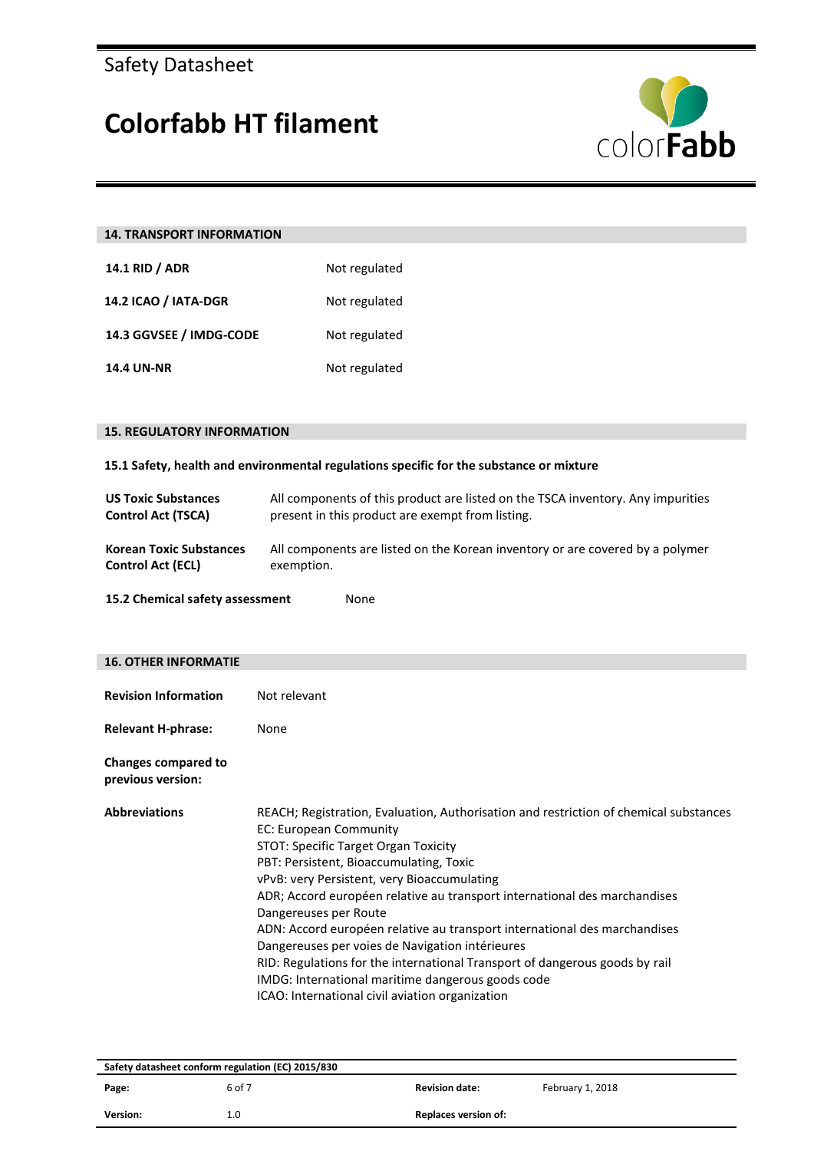# **Colorfabb HT filament**



| <b>14. TRANSPORT INFORMATION</b> |               |  |  |  |
|----------------------------------|---------------|--|--|--|
| 14.1 RID / ADR                   | Not regulated |  |  |  |
| 14.2 ICAO / IATA-DGR             | Not regulated |  |  |  |
| 14.3 GGVSEE / IMDG-CODE          | Not regulated |  |  |  |
| <b>14.4 UN-NR</b>                | Not regulated |  |  |  |

### **15. REGULATORY INFORMATION**

#### **15.1 Safety, health and environmental regulations specific for the substance or mixture**

| <b>US Toxic Substances</b>              | All components of this product are listed on the TSCA inventory. Any impurities |  |  |  |
|-----------------------------------------|---------------------------------------------------------------------------------|--|--|--|
| <b>Control Act (TSCA)</b>               | present in this product are exempt from listing.                                |  |  |  |
| <b>Korean Toxic Substances</b>          | All components are listed on the Korean inventory or are covered by a polymer   |  |  |  |
| <b>Control Act (ECL)</b>                | exemption.                                                                      |  |  |  |
| 15.2 Chemical safety assessment<br>None |                                                                                 |  |  |  |

#### **16. OTHER INFORMATIE**

| <b>Revision Information</b>                     | Not relevant                                                                                                                                                                                                                                                                                                                                                                                                                                                                                                                                                                                                                                                                   |
|-------------------------------------------------|--------------------------------------------------------------------------------------------------------------------------------------------------------------------------------------------------------------------------------------------------------------------------------------------------------------------------------------------------------------------------------------------------------------------------------------------------------------------------------------------------------------------------------------------------------------------------------------------------------------------------------------------------------------------------------|
| <b>Relevant H-phrase:</b>                       | None                                                                                                                                                                                                                                                                                                                                                                                                                                                                                                                                                                                                                                                                           |
| <b>Changes compared to</b><br>previous version: |                                                                                                                                                                                                                                                                                                                                                                                                                                                                                                                                                                                                                                                                                |
| <b>Abbreviations</b>                            | REACH; Registration, Evaluation, Authorisation and restriction of chemical substances<br>EC: European Community<br>STOT: Specific Target Organ Toxicity<br>PBT: Persistent, Bioaccumulating, Toxic<br>vPvB: very Persistent, very Bioaccumulating<br>ADR; Accord européen relative au transport international des marchandises<br>Dangereuses per Route<br>ADN: Accord européen relative au transport international des marchandises<br>Dangereuses per voies de Navigation intérieures<br>RID: Regulations for the international Transport of dangerous goods by rail<br>IMDG: International maritime dangerous goods code<br>ICAO: International civil aviation organization |

| Safety datasheet conform regulation (EC) 2015/830 |        |                             |                  |  |  |
|---------------------------------------------------|--------|-----------------------------|------------------|--|--|
| Page:                                             | 6 of 7 | <b>Revision date:</b>       | February 1, 2018 |  |  |
| Version:                                          | 1.0    | <b>Replaces version of:</b> |                  |  |  |